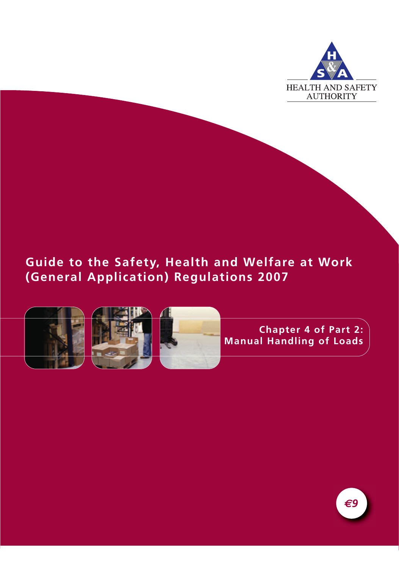

# **Guide to the Safety, Health and Welfare at Work (General Application) Regulations 2007**



**Chapter 4 of Part 2: Manual Handling of Loads**

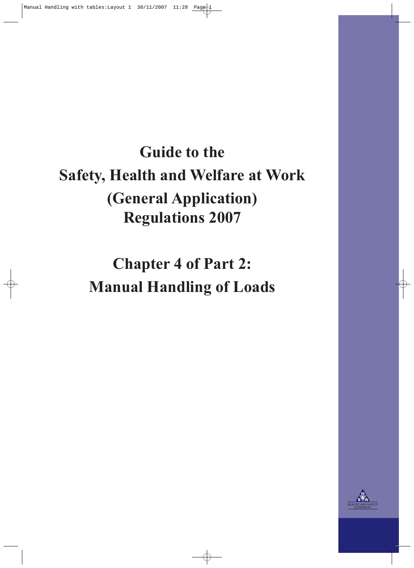# **Guide to the Safety, Health and Welfare at Work (General Application) Regulations 2007**

**Chapter 4 of Part 2: Manual Handling of Loads**

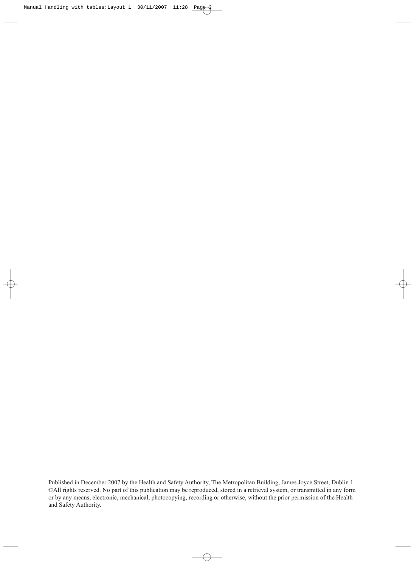Published in December 2007 by the Health and Safety Authority, The Metropolitan Building, James Joyce Street, Dublin 1. ©All rights reserved. No part of this publication may be reproduced, stored in a retrieval system, or transmitted in any form or by any means, electronic, mechanical, photocopying, recording or otherwise, without the prior permission of the Health and Safety Authority.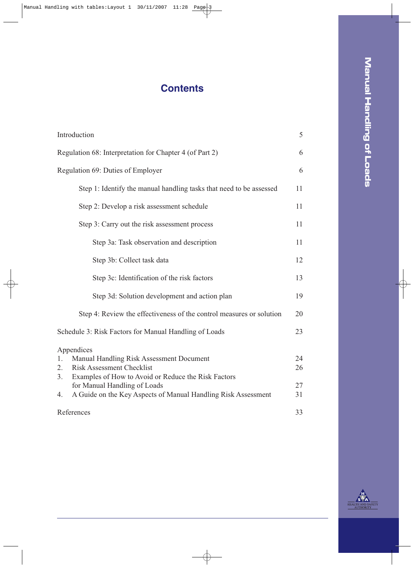# **Contents**

| Introduction                                                         | 5  |
|----------------------------------------------------------------------|----|
| Regulation 68: Interpretation for Chapter 4 (of Part 2)              | 6  |
| Regulation 69: Duties of Employer                                    | 6  |
| Step 1: Identify the manual handling tasks that need to be assessed  | 11 |
| Step 2: Develop a risk assessment schedule                           | 11 |
| Step 3: Carry out the risk assessment process                        | 11 |
| Step 3a: Task observation and description                            | 11 |
| Step 3b: Collect task data                                           | 12 |
| Step 3c: Identification of the risk factors                          | 13 |
| Step 3d: Solution development and action plan                        | 19 |
| Step 4: Review the effectiveness of the control measures or solution | 20 |
| Schedule 3: Risk Factors for Manual Handling of Loads                | 23 |
| Appendices                                                           |    |
| Manual Handling Risk Assessment Document<br>1.                       | 24 |
| <b>Risk Assessment Checklist</b><br>2.                               | 26 |
| Examples of How to Avoid or Reduce the Risk Factors<br>3.            |    |
| for Manual Handling of Loads                                         | 27 |
| A Guide on the Key Aspects of Manual Handling Risk Assessment<br>4.  | 31 |
| References                                                           | 33 |

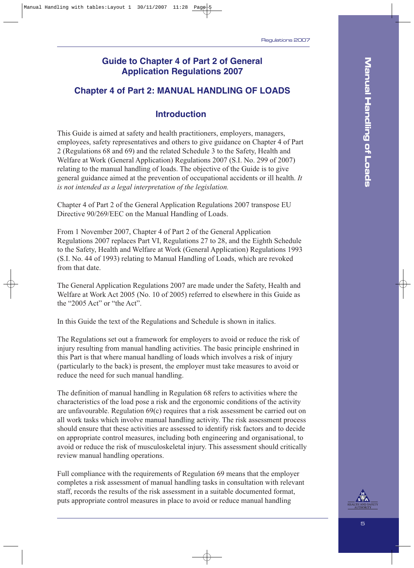### **Guide to Chapter 4 of Part 2 of General Application Regulations 2007**

### **Chapter 4 of Part 2: MANUAL HANDLING OF LOADS**

### **Introduction**

This Guide is aimed at safety and health practitioners, employers, managers, employees, safety representatives and others to give guidance on Chapter 4 of Part 2 (Regulations 68 and 69) and the related Schedule 3 to the Safety, Health and Welfare at Work (General Application) Regulations 2007 (S.I. No. 299 of 2007) relating to the manual handling of loads. The objective of the Guide is to give general guidance aimed at the prevention of occupational accidents or ill health. *It is not intended as a legal interpretation of the legislation.*

Chapter 4 of Part 2 of the General Application Regulations 2007 transpose EU Directive 90/269/EEC on the Manual Handling of Loads.

From 1 November 2007, Chapter 4 of Part 2 of the General Application Regulations 2007 replaces Part VI, Regulations 27 to 28, and the Eighth Schedule to the Safety, Health and Welfare at Work (General Application) Regulations 1993 (S.I. No. 44 of 1993) relating to Manual Handling of Loads, which are revoked from that date.

The General Application Regulations 2007 are made under the Safety, Health and Welfare at Work Act 2005 (No. 10 of 2005) referred to elsewhere in this Guide as the "2005 Act" or "the Act".

In this Guide the text of the Regulations and Schedule is shown in italics.

The Regulations set out a framework for employers to avoid or reduce the risk of injury resulting from manual handling activities. The basic principle enshrined in this Part is that where manual handling of loads which involves a risk of injury (particularly to the back) is present, the employer must take measures to avoid or reduce the need for such manual handling.

The definition of manual handling in Regulation 68 refers to activities where the characteristics of the load pose a risk and the ergonomic conditions of the activity are unfavourable. Regulation 69(c) requires that a risk assessment be carried out on all work tasks which involve manual handling activity. The risk assessment process should ensure that these activities are assessed to identify risk factors and to decide on appropriate control measures, including both engineering and organisational, to avoid or reduce the risk of musculoskeletal injury. This assessment should critically review manual handling operations.

Full compliance with the requirements of Regulation 69 means that the employer completes a risk assessment of manual handling tasks in consultation with relevant staff, records the results of the risk assessment in a suitable documented format, puts appropriate control measures in place to avoid or reduce manual handling

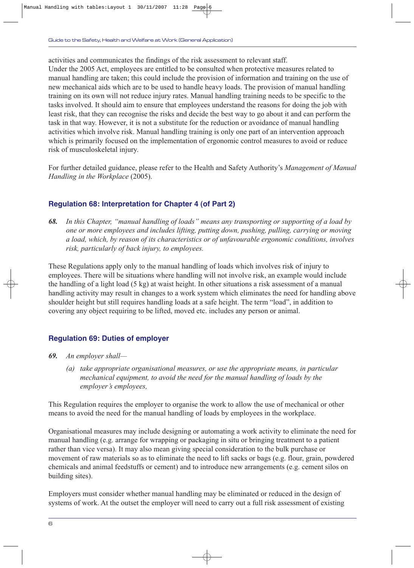activities and communicates the findings of the risk assessment to relevant staff.

Under the 2005 Act, employees are entitled to be consulted when protective measures related to manual handling are taken; this could include the provision of information and training on the use of new mechanical aids which are to be used to handle heavy loads. The provision of manual handling training on its own will not reduce injury rates. Manual handling training needs to be specific to the tasks involved. It should aim to ensure that employees understand the reasons for doing the job with least risk, that they can recognise the risks and decide the best way to go about it and can perform the task in that way. However, it is not a substitute for the reduction or avoidance of manual handling activities which involve risk. Manual handling training is only one part of an intervention approach which is primarily focused on the implementation of ergonomic control measures to avoid or reduce risk of musculoskeletal injury.

For further detailed guidance, please refer to the Health and Safety Authority's *Management of Manual Handling in the Workplace* (2005).

### **Regulation 68: Interpretation for Chapter 4 (of Part 2)**

*68. In this Chapter, "manual handling of loads" means any transporting or supporting of a load by one or more employees and includes lifting, putting down, pushing, pulling, carrying or moving a load, which, by reason of its characteristics or of unfavourable ergonomic conditions, involves risk, particularly of back injury, to employees.*

These Regulations apply only to the manual handling of loads which involves risk of injury to employees. There will be situations where handling will not involve risk, an example would include the handling of a light load (5 kg) at waist height. In other situations a risk assessment of a manual handling activity may result in changes to a work system which eliminates the need for handling above shoulder height but still requires handling loads at a safe height. The term "load", in addition to covering any object requiring to be lifted, moved etc. includes any person or animal.

### **Regulation 69: Duties of employer**

- *69. An employer shall—*
	- *(a) take appropriate organisational measures, or use the appropriate means, in particular mechanical equipment, to avoid the need for the manual handling of loads by the employer's employees,*

This Regulation requires the employer to organise the work to allow the use of mechanical or other means to avoid the need for the manual handling of loads by employees in the workplace.

Organisational measures may include designing or automating a work activity to eliminate the need for manual handling (e.g. arrange for wrapping or packaging in situ or bringing treatment to a patient rather than vice versa). It may also mean giving special consideration to the bulk purchase or movement of raw materials so as to eliminate the need to lift sacks or bags (e.g. flour, grain, powdered chemicals and animal feedstuffs or cement) and to introduce new arrangements (e.g. cement silos on building sites).

Employers must consider whether manual handling may be eliminated or reduced in the design of systems of work. At the outset the employer will need to carry out a full risk assessment of existing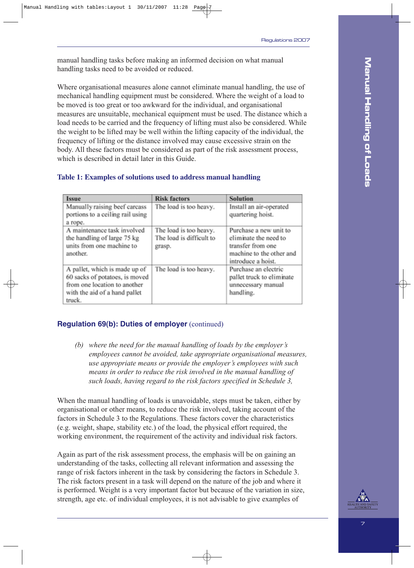manual handling tasks before making an informed decision on what manual handling tasks need to be avoided or reduced.

Where organisational measures alone cannot eliminate manual handling, the use of mechanical handling equipment must be considered. Where the weight of a load to be moved is too great or too awkward for the individual, and organisational measures are unsuitable, mechanical equipment must be used. The distance which a load needs to be carried and the frequency of lifting must also be considered. While the weight to be lifted may be well within the lifting capacity of the individual, the frequency of lifting or the distance involved may cause excessive strain on the body. All these factors must be considered as part of the risk assessment process, which is described in detail later in this Guide.

| <b>Issue</b>                                                                                                                               | <b>Risk factors</b>                                          | <b>Solution</b>                                                                                                        |
|--------------------------------------------------------------------------------------------------------------------------------------------|--------------------------------------------------------------|------------------------------------------------------------------------------------------------------------------------|
| Manually raising beef carcass<br>portions to a ceiling rail using<br>a rope.                                                               | The load is too heavy.                                       | Install an air-operated<br>quartering hoist.                                                                           |
| A maintenance task involved<br>the handling of large 75 kg<br>units from one machine to<br>another.                                        | The load is too heavy.<br>The load is difficult to<br>grasp. | Purchase a new unit to<br>eliminate the need to<br>transfer from one<br>machine to the other and<br>introduce a hoist. |
| A pallet, which is made up of<br>60 sacks of potatoes, is moved<br>from one location to another<br>with the aid of a hand pallet<br>truck. | The load is too heavy.                                       | Purchase an electric<br>pallet truck to eliminate<br>unnecessary manual<br>handling.                                   |

### **Table 1: Examples of solutions used to address manual handling**

### **Regulation 69(b): Duties of employer** (continued)

*(b) where the need for the manual handling of loads by the employer's employees cannot be avoided, take appropriate organisational measures, use appropriate means or provide the employer's employees with such means in order to reduce the risk involved in the manual handling of such loads, having regard to the risk factors specified in Schedule 3,*

When the manual handling of loads is unavoidable, steps must be taken, either by organisational or other means, to reduce the risk involved, taking account of the factors in Schedule 3 to the Regulations. These factors cover the characteristics (e.g. weight, shape, stability etc.) of the load, the physical effort required, the working environment, the requirement of the activity and individual risk factors.

Again as part of the risk assessment process, the emphasis will be on gaining an understanding of the tasks, collecting all relevant information and assessing the range of risk factors inherent in the task by considering the factors in Schedule 3. The risk factors present in a task will depend on the nature of the job and where it is performed. Weight is a very important factor but because of the variation in size, strength, age etc. of individual employees, it is not advisable to give examples of

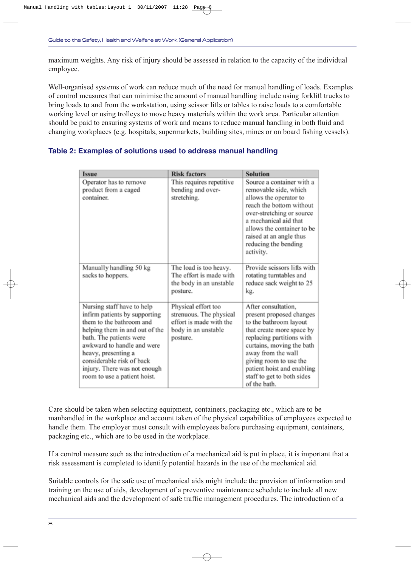maximum weights. Any risk of injury should be assessed in relation to the capacity of the individual employee.

Well-organised systems of work can reduce much of the need for manual handling of loads. Examples of control measures that can minimise the amount of manual handling include using forklift trucks to bring loads to and from the workstation, using scissor lifts or tables to raise loads to a comfortable working level or using trolleys to move heavy materials within the work area. Particular attention should be paid to ensuring systems of work and means to reduce manual handling in both fluid and changing workplaces (e.g. hospitals, supermarkets, building sites, mines or on board fishing vessels).

### **Table 2: Examples of solutions used to address manual handling**

| Issue                                                                                                                                                                                                                                                                                                  | <b>Risk factors</b>                                                                                          | <b>Solution</b>                                                                                                                                                                                                                                                                              |
|--------------------------------------------------------------------------------------------------------------------------------------------------------------------------------------------------------------------------------------------------------------------------------------------------------|--------------------------------------------------------------------------------------------------------------|----------------------------------------------------------------------------------------------------------------------------------------------------------------------------------------------------------------------------------------------------------------------------------------------|
| Operator has to remove<br>product from a caged<br>container.                                                                                                                                                                                                                                           | This requires repetitive<br>bending and over-<br>stretching.                                                 | Source a container with a<br>removable side, which<br>allows the operator to<br>reach the bottom without<br>over-stretching or source<br>a mechanical aid that<br>allows the container to be<br>raised at an angle thus<br>reducing the bending<br>activity.                                 |
| Manually handling 50 kg<br>sacks to hoppers.                                                                                                                                                                                                                                                           | The load is too heavy.<br>The effort is made with<br>the body in an unstable<br>posture.                     | Provide scissors lifts with<br>rotating turntables and<br>reduce sack weight to 25<br>kg.                                                                                                                                                                                                    |
| Nursing staff have to help<br>infirm patients by supporting<br>them to the bathroom and<br>helping them in and out of the<br>bath. The patients were<br>awkward to handle and were<br>heavy, presenting a<br>considerable risk of back<br>injury. There was not enough<br>room to use a patient hoist. | Physical effort too<br>strenuous. The physical<br>effort is made with the<br>body in an unstable<br>posture. | After consultation,<br>present proposed changes<br>to the bathroom layout<br>that create more space by<br>replacing partitions with<br>curtains, moving the bath<br>away from the wall<br>giving room to use the<br>patient hoist and enabling<br>staff to get to both sides<br>of the bath. |

Care should be taken when selecting equipment, containers, packaging etc., which are to be manhandled in the workplace and account taken of the physical capabilities of employees expected to handle them. The employer must consult with employees before purchasing equipment, containers, packaging etc., which are to be used in the workplace.

If a control measure such as the introduction of a mechanical aid is put in place, it is important that a risk assessment is completed to identify potential hazards in the use of the mechanical aid.

Suitable controls for the safe use of mechanical aids might include the provision of information and training on the use of aids, development of a preventive maintenance schedule to include all new mechanical aids and the development of safe traffic management procedures. The introduction of a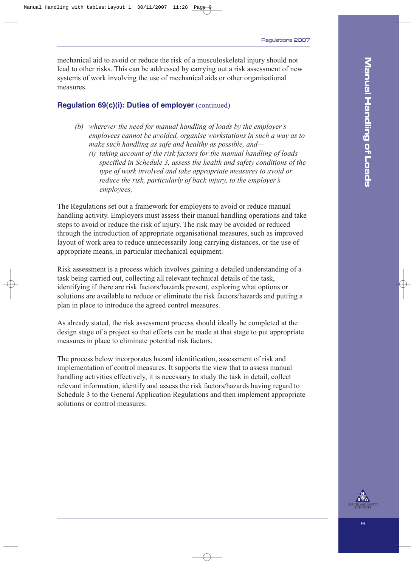mechanical aid to avoid or reduce the risk of a musculoskeletal injury should not lead to other risks. This can be addressed by carrying out a risk assessment of new systems of work involving the use of mechanical aids or other organisational measures.

### **Regulation 69(c)(i): Duties of employer** (continued)

- *(b) wherever the need for manual handling of loads by the employer's employees cannot be avoided, organise workstations in such a way as to make such handling as safe and healthy as possible, and—*
	- *(i) taking account of the risk factors for the manual handling of loads specified in Schedule 3, assess the health and safety conditions of the type of work involved and take appropriate measures to avoid or reduce the risk, particularly of back injury, to the employer's employees,*

The Regulations set out a framework for employers to avoid or reduce manual handling activity. Employers must assess their manual handling operations and take steps to avoid or reduce the risk of injury. The risk may be avoided or reduced through the introduction of appropriate organisational measures, such as improved layout of work area to reduce unnecessarily long carrying distances, or the use of appropriate means, in particular mechanical equipment.

Risk assessment is a process which involves gaining a detailed understanding of a task being carried out, collecting all relevant technical details of the task, identifying if there are risk factors/hazards present, exploring what options or solutions are available to reduce or eliminate the risk factors/hazards and putting a plan in place to introduce the agreed control measures.

As already stated, the risk assessment process should ideally be completed at the design stage of a project so that efforts can be made at that stage to put appropriate measures in place to eliminate potential risk factors.

The process below incorporates hazard identification, assessment of risk and implementation of control measures. It supports the view that to assess manual handling activities effectively, it is necessary to study the task in detail, collect relevant information, identify and assess the risk factors/hazards having regard to Schedule 3 to the General Application Regulations and then implement appropriate solutions or control measures.

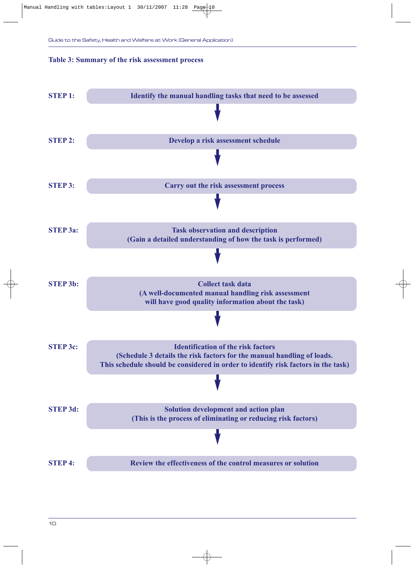### **Table 3: Summary of the risk assessment process**

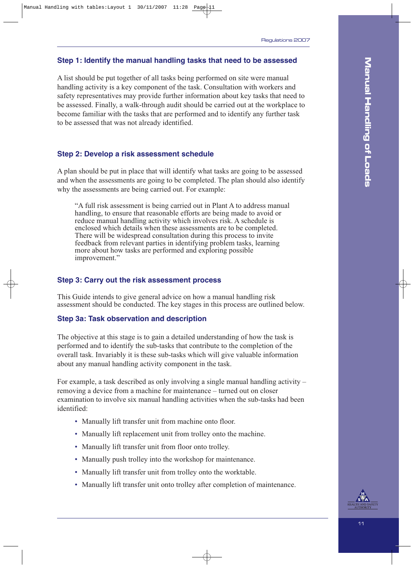### **Step 1: Identify the manual handling tasks that need to be assessed**

A list should be put together of all tasks being performed on site were manual handling activity is a key component of the task. Consultation with workers and safety representatives may provide further information about key tasks that need to be assessed. Finally, a walk-through audit should be carried out at the workplace to become familiar with the tasks that are performed and to identify any further task to be assessed that was not already identified.

### **Step 2: Develop a risk assessment schedule**

A plan should be put in place that will identify what tasks are going to be assessed and when the assessments are going to be completed. The plan should also identify why the assessments are being carried out. For example:

"A full risk assessment is being carried out in Plant A to address manual handling, to ensure that reasonable efforts are being made to avoid or reduce manual handling activity which involves risk. A schedule is enclosed which details when these assessments are to be completed. There will be widespread consultation during this process to invite feedback from relevant parties in identifying problem tasks, learning more about how tasks are performed and exploring possible improvement."

### **Step 3: Carry out the risk assessment process**

This Guide intends to give general advice on how a manual handling risk assessment should be conducted. The key stages in this process are outlined below.

### **Step 3a: Task observation and description**

The objective at this stage is to gain a detailed understanding of how the task is performed and to identify the sub-tasks that contribute to the completion of the overall task. Invariably it is these sub-tasks which will give valuable information about any manual handling activity component in the task.

For example, a task described as only involving a single manual handling activity – removing a device from a machine for maintenance – turned out on closer examination to involve six manual handling activities when the sub-tasks had been identified:

- Manually lift transfer unit from machine onto floor.
- Manually lift replacement unit from trolley onto the machine.
- Manually lift transfer unit from floor onto trolley.
- Manually push trolley into the workshop for maintenance.
- Manually lift transfer unit from trolley onto the worktable.
- Manually lift transfer unit onto trolley after completion of maintenance.

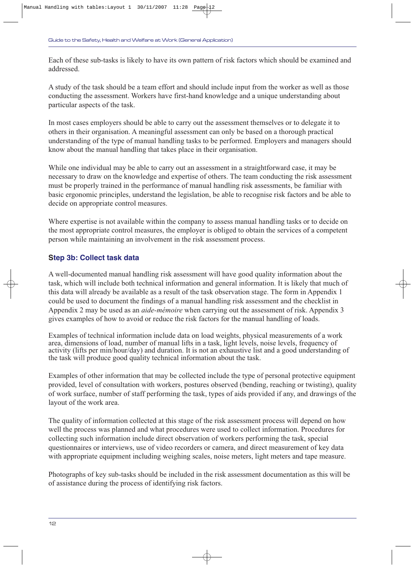Each of these sub-tasks is likely to have its own pattern of risk factors which should be examined and addressed.

A study of the task should be a team effort and should include input from the worker as well as those conducting the assessment. Workers have first-hand knowledge and a unique understanding about particular aspects of the task.

In most cases employers should be able to carry out the assessment themselves or to delegate it to others in their organisation. A meaningful assessment can only be based on a thorough practical understanding of the type of manual handling tasks to be performed. Employers and managers should know about the manual handling that takes place in their organisation.

While one individual may be able to carry out an assessment in a straightforward case, it may be necessary to draw on the knowledge and expertise of others. The team conducting the risk assessment must be properly trained in the performance of manual handling risk assessments, be familiar with basic ergonomic principles, understand the legislation, be able to recognise risk factors and be able to decide on appropriate control measures.

Where expertise is not available within the company to assess manual handling tasks or to decide on the most appropriate control measures, the employer is obliged to obtain the services of a competent person while maintaining an involvement in the risk assessment process.

### **Step 3b: Collect task data**

A well-documented manual handling risk assessment will have good quality information about the task, which will include both technical information and general information. It is likely that much of this data will already be available as a result of the task observation stage. The form in Appendix 1 could be used to document the findings of a manual handling risk assessment and the checklist in Appendix 2 may be used as an *aide-mémoire* when carrying out the assessment of risk. Appendix 3 gives examples of how to avoid or reduce the risk factors for the manual handling of loads.

Examples of technical information include data on load weights, physical measurements of a work area, dimensions of load, number of manual lifts in a task, light levels, noise levels, frequency of activity (lifts per min/hour/day) and duration. It is not an exhaustive list and a good understanding of the task will produce good quality technical information about the task.

Examples of other information that may be collected include the type of personal protective equipment provided, level of consultation with workers, postures observed (bending, reaching or twisting), quality of work surface, number of staff performing the task, types of aids provided if any, and drawings of the layout of the work area.

The quality of information collected at this stage of the risk assessment process will depend on how well the process was planned and what procedures were used to collect information. Procedures for collecting such information include direct observation of workers performing the task, special questionnaires or interviews, use of video recorders or camera, and direct measurement of key data with appropriate equipment including weighing scales, noise meters, light meters and tape measure.

Photographs of key sub-tasks should be included in the risk assessment documentation as this will be of assistance during the process of identifying risk factors.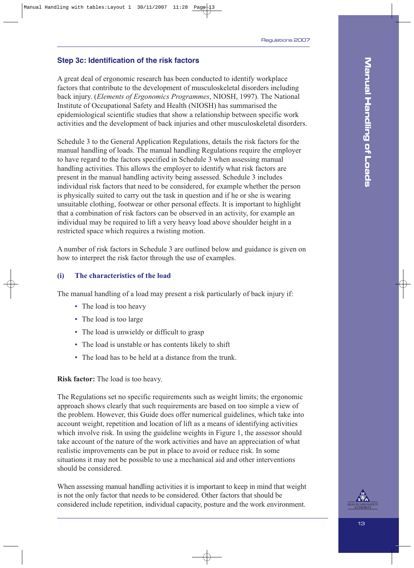### **Step 3c: Identification of the risk factors**

A great deal of ergonomic research has been conducted to identify workplace factors that contribute to the development of musculoskeletal disorders including back injury. (*Elements of Ergonomics Programmes*, NIOSH, 1997). The National Institute of Occupational Safety and Health (NIOSH) has summarised the epidemiological scientific studies that show a relationship between specific work activities and the development of back injuries and other musculoskeletal disorders.

Schedule 3 to the General Application Regulations, details the risk factors for the manual handling of loads. The manual handling Regulations require the employer to have regard to the factors specified in Schedule 3 when assessing manual handling activities. This allows the employer to identify what risk factors are present in the manual handling activity being assessed. Schedule 3 includes individual risk factors that need to be considered, for example whether the person is physically suited to carry out the task in question and if he or she is wearing unsuitable clothing, footwear or other personal effects. It is important to highlight that a combination of risk factors can be observed in an activity, for example an individual may be required to lift a very heavy load above shoulder height in a restricted space which requires a twisting motion.

A number of risk factors in Schedule 3 are outlined below and guidance is given on how to interpret the risk factor through the use of examples.

### **(i) The characteristics of the load**

The manual handling of a load may present a risk particularly of back injury if:

- The load is too heavy
- The load is too large
- The load is unwieldy or difficult to grasp
- The load is unstable or has contents likely to shift
- The load has to be held at a distance from the trunk.

#### **Risk factor:** The load is too heavy.

The Regulations set no specific requirements such as weight limits; the ergonomic approach shows clearly that such requirements are based on too simple a view of the problem. However, this Guide does offer numerical guidelines, which take into account weight, repetition and location of lift as a means of identifying activities which involve risk. In using the guideline weights in Figure 1, the assessor should take account of the nature of the work activities and have an appreciation of what realistic improvements can be put in place to avoid or reduce risk. In some situations it may not be possible to use a mechanical aid and other interventions should be considered.

When assessing manual handling activities it is important to keep in mind that weight is not the only factor that needs to be considered. Other factors that should be considered include repetition, individual capacity, posture and the work environment.

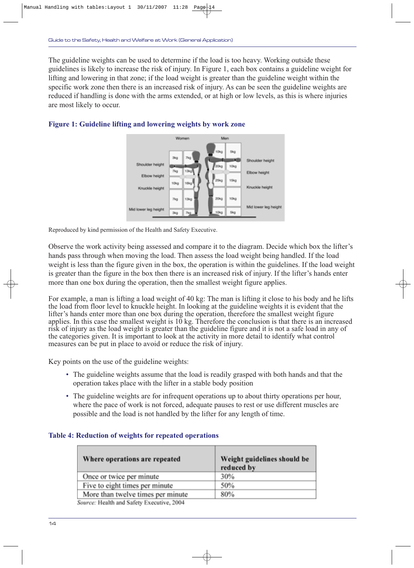The guideline weights can be used to determine if the load is too heavy. Working outside these guidelines is likely to increase the risk of injury. In Figure 1, each box contains a guideline weight for lifting and lowering in that zone; if the load weight is greater than the guideline weight within the specific work zone then there is an increased risk of injury. As can be seen the guideline weights are reduced if handling is done with the arms extended, or at high or low levels, as this is where injuries are most likely to occur.



### **Figure 1: Guideline lifting and lowering weights by work zone**

Reproduced by kind permission of the Health and Safety Executive.

Observe the work activity being assessed and compare it to the diagram. Decide which box the lifter's hands pass through when moving the load. Then assess the load weight being handled. If the load weight is less than the figure given in the box, the operation is within the guidelines. If the load weight is greater than the figure in the box then there is an increased risk of injury. If the lifter's hands enter more than one box during the operation, then the smallest weight figure applies.

For example, a man is lifting a load weight of 40 kg: The man is lifting it close to his body and he lifts the load from floor level to knuckle height. In looking at the guideline weights it is evident that the lifter's hands enter more than one box during the operation, therefore the smallest weight figure applies. In this case the smallest weight is  $10 \text{ kg}$ . Therefore the conclusion is that there is an increased risk of injury as the load weight is greater than the guideline figure and it is not a safe load in any of the categories given. It is important to look at the activity in more detail to identify what control measures can be put in place to avoid or reduce the risk of injury.

Key points on the use of the guideline weights:

- The guideline weights assume that the load is readily grasped with both hands and that the operation takes place with the lifter in a stable body position
- The guideline weights are for infrequent operations up to about thirty operations per hour, where the pace of work is not forced, adequate pauses to rest or use different muscles are possible and the load is not handled by the lifter for any length of time.

| Where operations are repeated                 | Weight guidelines should be<br>reduced by |
|-----------------------------------------------|-------------------------------------------|
| Once or twice per minute                      | 30%                                       |
| Five to eight times per minute                | 50%                                       |
| More than twelve times per minute             | 80%                                       |
| Converse Hardels and Cafety Program from AGAA |                                           |

### **Table 4: Reduction of weights for repeated operations**

Source: Health and Safety Executive, 2004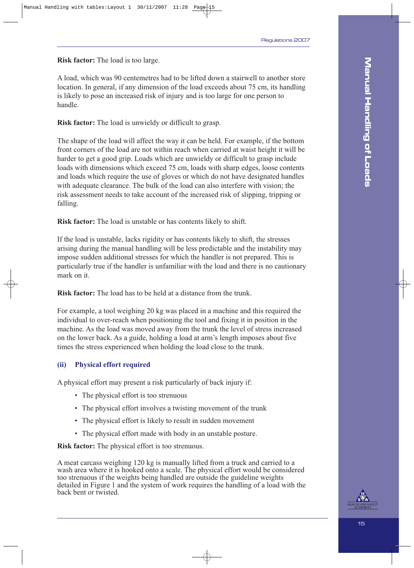**Risk factor:** The load is too large.

A load, which was 90 centemetres had to be lifted down a stairwell to another store location. In general, if any dimension of the load exceeds about 75 cm, its handling is likely to pose an increased risk of injury and is too large for one person to handle.

**Risk factor:** The load is unwieldy or difficult to grasp.

The shape of the load will affect the way it can be held. For example, if the bottom front corners of the load are not within reach when carried at waist height it will be harder to get a good grip. Loads which are unwieldy or difficult to grasp include loads with dimensions which exceed 75 cm, loads with sharp edges, loose contents and loads which require the use of gloves or which do not have designated handles with adequate clearance. The bulk of the load can also interfere with vision; the risk assessment needs to take account of the increased risk of slipping, tripping or falling.

**Risk factor:** The load is unstable or has contents likely to shift.

If the load is unstable, lacks rigidity or has contents likely to shift, the stresses arising during the manual handling will be less predictable and the instability may impose sudden additional stresses for which the handler is not prepared. This is particularly true if the handler is unfamiliar with the load and there is no cautionary mark on it.

**Risk factor:** The load has to be held at a distance from the trunk.

For example, a tool weighing 20 kg was placed in a machine and this required the individual to over-reach when positioning the tool and fixing it in position in the machine. As the load was moved away from the trunk the level of stress increased on the lower back. As a guide, holding a load at arm's length imposes about five times the stress experienced when holding the load close to the trunk.

### **(ii) Physical effort required**

A physical effort may present a risk particularly of back injury if:

- The physical effort is too strenuous
- The physical effort involves a twisting movement of the trunk
- The physical effort is likely to result in sudden movement
- The physical effort made with body in an unstable posture.

**Risk factor:** The physical effort is too strenuous.

A meat carcass weighing 120 kg is manually lifted from a truck and carried to a wash area where it is hooked onto a scale. The physical effort would be considered too strenuous if the weights being handled are outside the guideline weights detailed in Figure 1 and the system of work requires the handling of a load with the back bent or twisted.

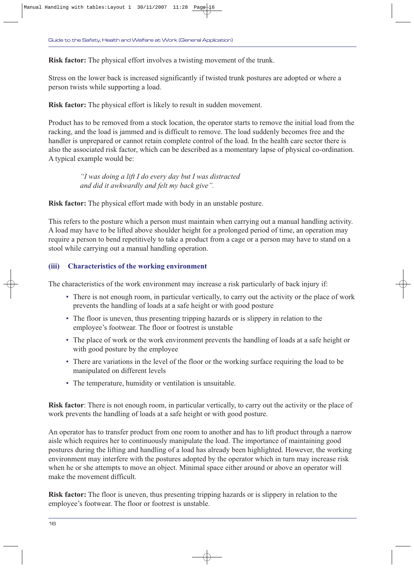**Risk factor:** The physical effort involves a twisting movement of the trunk.

Stress on the lower back is increased significantly if twisted trunk postures are adopted or where a person twists while supporting a load.

**Risk factor:** The physical effort is likely to result in sudden movement.

Product has to be removed from a stock location, the operator starts to remove the initial load from the racking, and the load is jammed and is difficult to remove. The load suddenly becomes free and the handler is unprepared or cannot retain complete control of the load. In the health care sector there is also the associated risk factor, which can be described as a momentary lapse of physical co-ordination. A typical example would be:

> *"I was doing a lift I do every day but I was distracted and did it awkwardly and felt my back give".*

**Risk factor:** The physical effort made with body in an unstable posture.

This refers to the posture which a person must maintain when carrying out a manual handling activity. A load may have to be lifted above shoulder height for a prolonged period of time, an operation may require a person to bend repetitively to take a product from a cage or a person may have to stand on a stool while carrying out a manual handling operation.

### **(iii) Characteristics of the working environment**

The characteristics of the work environment may increase a risk particularly of back injury if:

- There is not enough room, in particular vertically, to carry out the activity or the place of work prevents the handling of loads at a safe height or with good posture
- The floor is uneven, thus presenting tripping hazards or is slippery in relation to the employee's footwear. The floor or footrest is unstable
- The place of work or the work environment prevents the handling of loads at a safe height or with good posture by the employee
- There are variations in the level of the floor or the working surface requiring the load to be manipulated on different levels
- The temperature, humidity or ventilation is unsuitable.

**Risk factor**: There is not enough room, in particular vertically, to carry out the activity or the place of work prevents the handling of loads at a safe height or with good posture.

An operator has to transfer product from one room to another and has to lift product through a narrow aisle which requires her to continuously manipulate the load. The importance of maintaining good postures during the lifting and handling of a load has already been highlighted. However, the working environment may interfere with the postures adopted by the operator which in turn may increase risk when he or she attempts to move an object. Minimal space either around or above an operator will make the movement difficult.

**Risk factor:** The floor is uneven, thus presenting tripping hazards or is slippery in relation to the employee's footwear. The floor or footrest is unstable.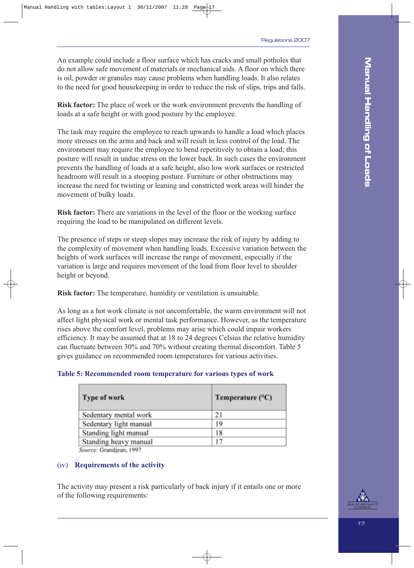An example could include a floor surface which has cracks and small potholes that do not allow safe movement of materials or mechanical aids. A floor on which there is oil, powder or granules may cause problems when handling loads. It also relates to the need for good housekeeping in order to reduce the risk of slips, trips and falls.

**Risk factor:** The place of work or the work environment prevents the handling of loads at a safe height or with good posture by the employee.

The task may require the employee to reach upwards to handle a load which places more stresses on the arms and back and will result in less control of the load. The environment may require the employee to bend repetitively to obtain a load; this posture will result in undue stress on the lower back. In such cases the environment prevents the handling of loads at a safe height, also low work surfaces or restricted headroom will result in a stooping posture. Furniture or other obstructions may increase the need for twisting or leaning and constricted work areas will hinder the movement of bulky loads.

**Risk factor:** There are variations in the level of the floor or the working surface requiring the load to be manipulated on different levels.

The presence of steps or steep slopes may increase the risk of injury by adding to the complexity of movement when handling loads. Excessive variation between the heights of work surfaces will increase the range of movement, especially if the variation is large and requires movement of the load from floor level to shoulder height or beyond.

**Risk factor:** The temperature, humidity or ventilation is unsuitable.

As long as a hot work climate is not uncomfortable, the warm environment will not affect light physical work or mental task performance. However, as the temperature rises above the comfort level, problems may arise which could impair workers efficiency. It may be assumed that at 18 to 24 degrees Celsius the relative humidity can fluctuate between 30% and 70% without creating thermal discomfort. Table 5 gives guidance on recommended room temperatures for various activities.

### **Table 5: Recommended room temperature for various types of work**

| <b>Type of work</b>    | Temperature $(^{\circ}C)$ |
|------------------------|---------------------------|
| Sedentary mental work  | 21                        |
| Sedentary light manual | 19                        |
| Standing light manual  | 18                        |
| Standing heavy manual  | 17                        |

Source: Grandjean, 1997

### (iv) **Requirements of the activity**

The activity may present a risk particularly of back injury if it entails one or more of the following requirements:

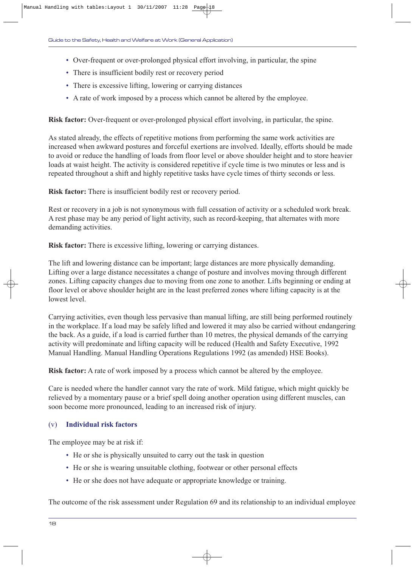- Over-frequent or over-prolonged physical effort involving, in particular, the spine
- There is insufficient bodily rest or recovery period
- There is excessive lifting, lowering or carrying distances
- A rate of work imposed by a process which cannot be altered by the employee.

**Risk factor:** Over-frequent or over-prolonged physical effort involving, in particular, the spine.

As stated already, the effects of repetitive motions from performing the same work activities are increased when awkward postures and forceful exertions are involved. Ideally, efforts should be made to avoid or reduce the handling of loads from floor level or above shoulder height and to store heavier loads at waist height. The activity is considered repetitive if cycle time is two minutes or less and is repeated throughout a shift and highly repetitive tasks have cycle times of thirty seconds or less.

**Risk factor:** There is insufficient bodily rest or recovery period.

Rest or recovery in a job is not synonymous with full cessation of activity or a scheduled work break. A rest phase may be any period of light activity, such as record-keeping, that alternates with more demanding activities.

**Risk factor:** There is excessive lifting, lowering or carrying distances.

The lift and lowering distance can be important; large distances are more physically demanding. Lifting over a large distance necessitates a change of posture and involves moving through different zones. Lifting capacity changes due to moving from one zone to another. Lifts beginning or ending at floor level or above shoulder height are in the least preferred zones where lifting capacity is at the lowest level.

Carrying activities, even though less pervasive than manual lifting, are still being performed routinely in the workplace. If a load may be safely lifted and lowered it may also be carried without endangering the back. As a guide, if a load is carried further than 10 metres, the physical demands of the carrying activity will predominate and lifting capacity will be reduced (Health and Safety Executive, 1992 Manual Handling. Manual Handling Operations Regulations 1992 (as amended) HSE Books).

**Risk factor:** A rate of work imposed by a process which cannot be altered by the employee.

Care is needed where the handler cannot vary the rate of work. Mild fatigue, which might quickly be relieved by a momentary pause or a brief spell doing another operation using different muscles, can soon become more pronounced, leading to an increased risk of injury.

### (v) **Individual risk factors**

The employee may be at risk if:

- He or she is physically unsuited to carry out the task in question
- He or she is wearing unsuitable clothing, footwear or other personal effects
- He or she does not have adequate or appropriate knowledge or training.

The outcome of the risk assessment under Regulation 69 and its relationship to an individual employee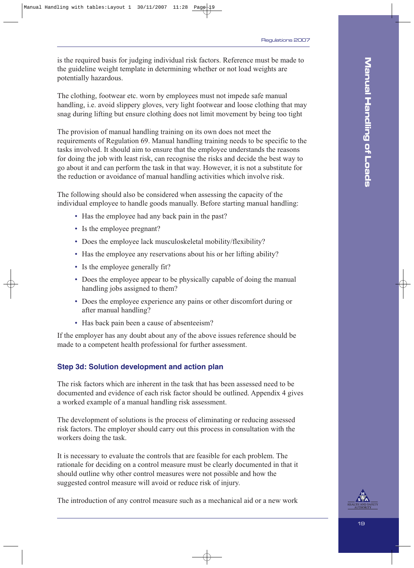is the required basis for judging individual risk factors. Reference must be made to the guideline weight template in determining whether or not load weights are potentially hazardous.

The clothing, footwear etc. worn by employees must not impede safe manual handling, i.e. avoid slippery gloves, very light footwear and loose clothing that may snag during lifting but ensure clothing does not limit movement by being too tight

The provision of manual handling training on its own does not meet the requirements of Regulation 69. Manual handling training needs to be specific to the tasks involved. It should aim to ensure that the employee understands the reasons for doing the job with least risk, can recognise the risks and decide the best way to go about it and can perform the task in that way. However, it is not a substitute for the reduction or avoidance of manual handling activities which involve risk.

The following should also be considered when assessing the capacity of the individual employee to handle goods manually. Before starting manual handling:

- Has the employee had any back pain in the past?
- Is the employee pregnant?
- Does the employee lack musculoskeletal mobility/flexibility?
- Has the employee any reservations about his or her lifting ability?
- Is the employee generally fit?
- Does the employee appear to be physically capable of doing the manual handling jobs assigned to them?
- Does the employee experience any pains or other discomfort during or after manual handling?
- Has back pain been a cause of absenteeism?

If the employer has any doubt about any of the above issues reference should be made to a competent health professional for further assessment.

### **Step 3d: Solution development and action plan**

The risk factors which are inherent in the task that has been assessed need to be documented and evidence of each risk factor should be outlined. Appendix 4 gives a worked example of a manual handling risk assessment.

The development of solutions is the process of eliminating or reducing assessed risk factors. The employer should carry out this process in consultation with the workers doing the task.

It is necessary to evaluate the controls that are feasible for each problem. The rationale for deciding on a control measure must be clearly documented in that it should outline why other control measures were not possible and how the suggested control measure will avoid or reduce risk of injury.

The introduction of any control measure such as a mechanical aid or a new work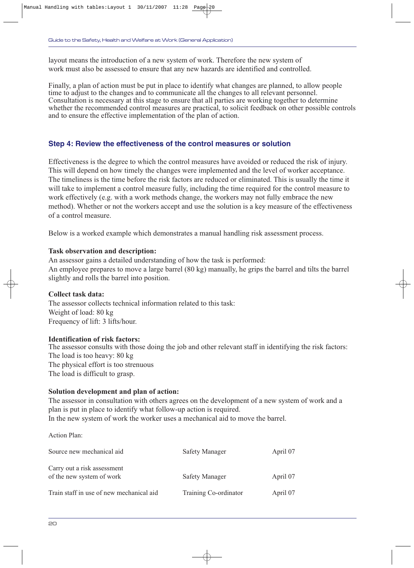layout means the introduction of a new system of work. Therefore the new system of work must also be assessed to ensure that any new hazards are identified and controlled.

Finally, a plan of action must be put in place to identify what changes are planned, to allow people time to adjust to the changes and to communicate all the changes to all relevant personnel. Consultation is necessary at this stage to ensure that all parties are working together to determine whether the recommended control measures are practical, to solicit feedback on other possible controls and to ensure the effective implementation of the plan of action.

### **Step 4: Review the effectiveness of the control measures or solution**

Effectiveness is the degree to which the control measures have avoided or reduced the risk of injury. This will depend on how timely the changes were implemented and the level of worker acceptance. The timeliness is the time before the risk factors are reduced or eliminated. This is usually the time it will take to implement a control measure fully, including the time required for the control measure to work effectively (e.g. with a work methods change, the workers may not fully embrace the new method). Whether or not the workers accept and use the solution is a key measure of the effectiveness of a control measure.

Below is a worked example which demonstrates a manual handling risk assessment process.

#### **Task observation and description:**

An assessor gains a detailed understanding of how the task is performed: An employee prepares to move a large barrel (80 kg) manually, he grips the barrel and tilts the barrel slightly and rolls the barrel into position.

#### **Collect task data:**

The assessor collects technical information related to this task: Weight of load: 80 kg Frequency of lift: 3 lifts/hour.

#### **Identification of risk factors:**

The assessor consults with those doing the job and other relevant staff in identifying the risk factors: The load is too heavy: 80 kg The physical effort is too strenuous The load is difficult to grasp.

### **Solution development and plan of action:**

The assessor in consultation with others agrees on the development of a new system of work and a plan is put in place to identify what follow-up action is required. In the new system of work the worker uses a mechanical aid to move the barrel.

Action Plan:

| Source new mechanical aid                                | Safety Manager        | April 07 |
|----------------------------------------------------------|-----------------------|----------|
| Carry out a risk assessment<br>of the new system of work | Safety Manager        | April 07 |
| Train staff in use of new mechanical aid                 | Training Co-ordinator | April 07 |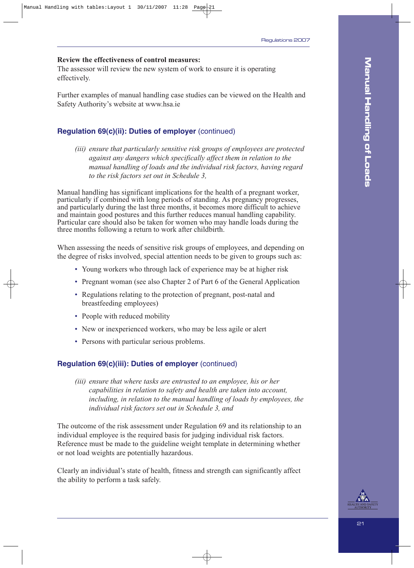### **Review the effectiveness of control measures:**

The assessor will review the new system of work to ensure it is operating effectively.

Further examples of manual handling case studies can be viewed on the Health and Safety Authority's website at www.hsa.ie

### **Regulation 69(c)(ii): Duties of employer** (continued)

*(iii) ensure that particularly sensitive risk groups of employees are protected against any dangers which specifically affect them in relation to the manual handling of loads and the individual risk factors, having regard to the risk factors set out in Schedule 3,*

Manual handling has significant implications for the health of a pregnant worker, particularly if combined with long periods of standing. As pregnancy progresses, and particularly during the last three months, it becomes more difficult to achieve and maintain good postures and this further reduces manual handling capability. Particular care should also be taken for women who may handle loads during the three months following a return to work after childbirth.

When assessing the needs of sensitive risk groups of employees, and depending on the degree of risks involved, special attention needs to be given to groups such as:

- Young workers who through lack of experience may be at higher risk
- Pregnant woman (see also Chapter 2 of Part 6 of the General Application
- Regulations relating to the protection of pregnant, post-natal and breastfeeding employees)
- People with reduced mobility
- New or inexperienced workers, who may be less agile or alert
- Persons with particular serious problems.

#### **Regulation 69(c)(iii): Duties of employer** (continued)

*(iii) ensure that where tasks are entrusted to an employee, his or her capabilities in relation to safety and health are taken into account, including, in relation to the manual handling of loads by employees, the individual risk factors set out in Schedule 3, and*

The outcome of the risk assessment under Regulation 69 and its relationship to an individual employee is the required basis for judging individual risk factors. Reference must be made to the guideline weight template in determining whether or not load weights are potentially hazardous.

Clearly an individual's state of health, fitness and strength can significantly affect the ability to perform a task safely.

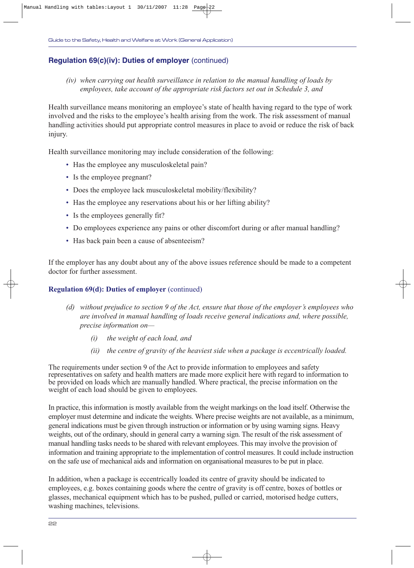### **Regulation 69(c)(iv): Duties of employer** (continued)

*(iv) when carrying out health surveillance in relation to the manual handling of loads by employees, take account of the appropriate risk factors set out in Schedule 3, and*

Health surveillance means monitoring an employee's state of health having regard to the type of work involved and the risks to the employee's health arising from the work. The risk assessment of manual handling activities should put appropriate control measures in place to avoid or reduce the risk of back injury.

Health surveillance monitoring may include consideration of the following:

- Has the employee any musculoskeletal pain?
- Is the employee pregnant?
- Does the employee lack musculoskeletal mobility/flexibility?
- Has the employee any reservations about his or her lifting ability?
- Is the employees generally fit?
- Do employees experience any pains or other discomfort during or after manual handling?
- Has back pain been a cause of absenteeism?

If the employer has any doubt about any of the above issues reference should be made to a competent doctor for further assessment.

### **Regulation 69(d): Duties of employer** (continued)

- *(d) without prejudice to section 9 of the Act, ensure that those of the employer's employees who are involved in manual handling of loads receive general indications and, where possible, precise information on—*
	- *(i) the weight of each load, and*
	- *(ii) the centre of gravity of the heaviest side when a package is eccentrically loaded.*

The requirements under section 9 of the Act to provide information to employees and safety representatives on safety and health matters are made more explicit here with regard to information to be provided on loads which are manually handled. Where practical, the precise information on the weight of each load should be given to employees.

In practice, this information is mostly available from the weight markings on the load itself. Otherwise the employer must determine and indicate the weights. Where precise weights are not available, as a minimum, general indications must be given through instruction or information or by using warning signs. Heavy weights, out of the ordinary, should in general carry a warning sign. The result of the risk assessment of manual handling tasks needs to be shared with relevant employees. This may involve the provision of information and training appropriate to the implementation of control measures. It could include instruction on the safe use of mechanical aids and information on organisational measures to be put in place.

In addition, when a package is eccentrically loaded its centre of gravity should be indicated to employees, e.g. boxes containing goods where the centre of gravity is off centre, boxes of bottles or glasses, mechanical equipment which has to be pushed, pulled or carried, motorised hedge cutters, washing machines, televisions.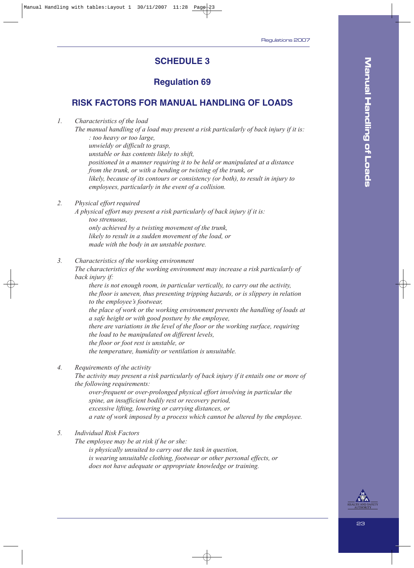### **SCHEDULE 3**

### **Regulation 69**

### **RISK FACTORS FOR MANUAL HANDLING OF LOADS**

*1. Characteristics of the load*

*The manual handling of a load may present a risk particularly of back injury if it is: : too heavy or too large, unwieldy or difficult to grasp, unstable or has contents likely to shift, positioned in a manner requiring it to be held or manipulated at a distance from the trunk, or with a bending or twisting of the trunk, or likely, because of its contours or consistency (or both), to result in injury to employees, particularly in the event of a collision.*

*2. Physical effort required*

*A physical effort may present a risk particularly of back injury if it is: too strenuous, only achieved by a twisting movement of the trunk, likely to result in a sudden movement of the load, or made with the body in an unstable posture.*

*3. Characteristics of the working environment*

*The characteristics of the working environment may increase a risk particularly of back injury if:*

*there is not enough room, in particular vertically, to carry out the activity, the floor is uneven, thus presenting tripping hazards, or is slippery in relation to the employee's footwear, the place of work or the working environment prevents the handling of loads at a safe height or with good posture by the employee, there are variations in the level of the floor or the working surface, requiring the load to be manipulated on different levels, the floor or foot rest is unstable, or the temperature, humidity or ventilation is unsuitable.*

*4. Requirements of the activity*

*The activity may present a risk particularly of back injury if it entails one or more of the following requirements:*

*over-frequent or over-prolonged physical effort involving in particular the spine, an insufficient bodily rest or recovery period, excessive lifting, lowering or carrying distances, or a rate of work imposed by a process which cannot be altered by the employee.*

*5. Individual Risk Factors*

*The employee may be at risk if he or she:*

*is physically unsuited to carry out the task in question, is wearing unsuitable clothing, footwear or other personal effects, or does not have adequate or appropriate knowledge or training.*

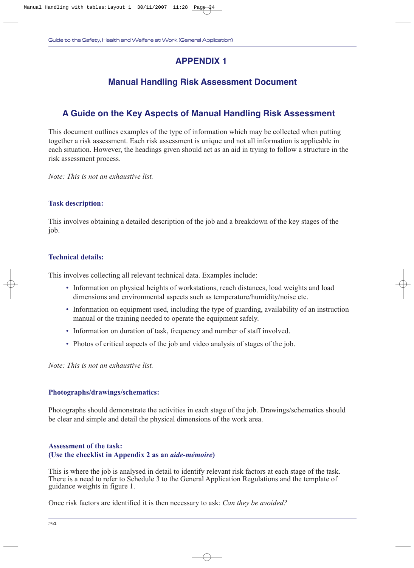### **APPENDIX 1**

### **Manual Handling Risk Assessment Document**

### **A Guide on the Key Aspects of Manual Handling Risk Assessment**

This document outlines examples of the type of information which may be collected when putting together a risk assessment. Each risk assessment is unique and not all information is applicable in each situation. However, the headings given should act as an aid in trying to follow a structure in the risk assessment process.

*Note: This is not an exhaustive list.*

### **Task description:**

This involves obtaining a detailed description of the job and a breakdown of the key stages of the job.

### **Technical details:**

This involves collecting all relevant technical data. Examples include:

- Information on physical heights of workstations, reach distances, load weights and load dimensions and environmental aspects such as temperature/humidity/noise etc.
- Information on equipment used, including the type of guarding, availability of an instruction manual or the training needed to operate the equipment safely.
- Information on duration of task, frequency and number of staff involved.
- Photos of critical aspects of the job and video analysis of stages of the job.

*Note: This is not an exhaustive list.*

### **Photographs/drawings/schematics:**

Photographs should demonstrate the activities in each stage of the job. Drawings/schematics should be clear and simple and detail the physical dimensions of the work area.

### **Assessment of the task: (Use the checklist in Appendix 2 as an** *aide-mémoire***)**

This is where the job is analysed in detail to identify relevant risk factors at each stage of the task. There is a need to refer to Schedule 3 to the General Application Regulations and the template of guidance weights in figure 1.

Once risk factors are identified it is then necessary to ask: *Can they be avoided?*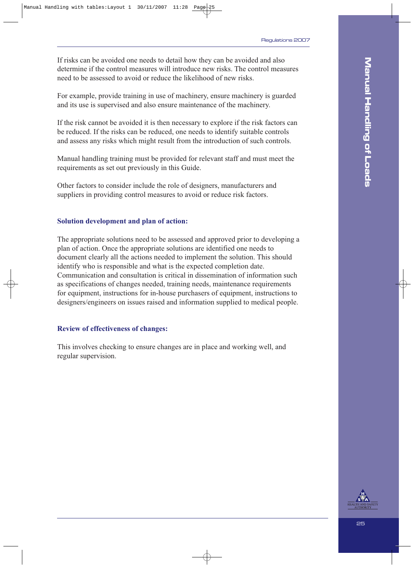If risks can be avoided one needs to detail how they can be avoided and also determine if the control measures will introduce new risks. The control measures need to be assessed to avoid or reduce the likelihood of new risks.

For example, provide training in use of machinery, ensure machinery is guarded and its use is supervised and also ensure maintenance of the machinery.

If the risk cannot be avoided it is then necessary to explore if the risk factors can be reduced. If the risks can be reduced, one needs to identify suitable controls and assess any risks which might result from the introduction of such controls.

Manual handling training must be provided for relevant staff and must meet the requirements as set out previously in this Guide.

Other factors to consider include the role of designers, manufacturers and suppliers in providing control measures to avoid or reduce risk factors.

#### **Solution development and plan of action:**

The appropriate solutions need to be assessed and approved prior to developing a plan of action. Once the appropriate solutions are identified one needs to document clearly all the actions needed to implement the solution. This should identify who is responsible and what is the expected completion date. Communication and consultation is critical in dissemination of information such as specifications of changes needed, training needs, maintenance requirements for equipment, instructions for in-house purchasers of equipment, instructions to designers/engineers on issues raised and information supplied to medical people.

#### **Review of effectiveness of changes:**

This involves checking to ensure changes are in place and working well, and regular supervision.

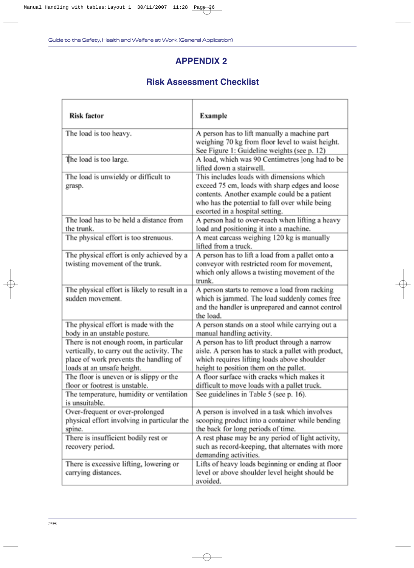### **APPENDIX 2**

### **Risk Assessment Checklist**

| <b>Risk factor</b>                                                                                                                                            | Example                                                                                                                                                                                                                          |
|---------------------------------------------------------------------------------------------------------------------------------------------------------------|----------------------------------------------------------------------------------------------------------------------------------------------------------------------------------------------------------------------------------|
| The load is too heavy.                                                                                                                                        | A person has to lift manually a machine part<br>weighing 70 kg from floor level to waist height.<br>See Figure 1: Guideline weights (see p. 12)                                                                                  |
| The load is too large.                                                                                                                                        | A load, which was 90 Centimetres long had to be<br>lifted down a stairwell.                                                                                                                                                      |
| The load is unwieldy or difficult to<br>grasp.                                                                                                                | This includes loads with dimensions which<br>exceed 75 cm, loads with sharp edges and loose<br>contents. Another example could be a patient<br>who has the potential to fall over while being<br>escorted in a hospital setting. |
| The load has to be held a distance from<br>the trunk.                                                                                                         | A person had to over-reach when lifting a heavy<br>load and positioning it into a machine.                                                                                                                                       |
| The physical effort is too strenuous.                                                                                                                         | A meat carcass weighing 120 kg is manually<br>lifted from a truck.                                                                                                                                                               |
| The physical effort is only achieved by a<br>twisting movement of the trunk.                                                                                  | A person has to lift a load from a pallet onto a<br>conveyor with restricted room for movement,<br>which only allows a twisting movement of the<br>trunk.                                                                        |
| The physical effort is likely to result in a<br>sudden movement.                                                                                              | A person starts to remove a load from racking<br>which is jammed. The load suddenly comes free<br>and the handler is unprepared and cannot control<br>the load.                                                                  |
| The physical effort is made with the<br>body in an unstable posture.                                                                                          | A person stands on a stool while carrying out a<br>manual handling activity.                                                                                                                                                     |
| There is not enough room, in particular<br>vertically, to carry out the activity. The<br>place of work prevents the handling of<br>loads at an unsafe height. | A person has to lift product through a narrow<br>aisle. A person has to stack a pallet with product,<br>which requires lifting loads above shoulder<br>height to position them on the pallet.                                    |
| The floor is uneven or is slippy or the<br>floor or footrest is unstable.                                                                                     | A floor surface with cracks which makes it<br>difficult to move loads with a pallet truck.                                                                                                                                       |
| The temperature, humidity or ventilation<br>is unsuitable.                                                                                                    | See guidelines in Table 5 (see p. 16).                                                                                                                                                                                           |
| Over-frequent or over-prolonged<br>physical effort involving in particular the<br>spine.                                                                      | A person is involved in a task which involves<br>scooping product into a container while bending<br>the back for long periods of time.                                                                                           |
| There is insufficient bodily rest or<br>recovery period.                                                                                                      | A rest phase may be any period of light activity,<br>such as record-keeping, that alternates with more<br>demanding activities.                                                                                                  |
| There is excessive lifting, lowering or<br>carrying distances.                                                                                                | Lifts of heavy loads beginning or ending at floor<br>level or above shoulder level height should be<br>avoided.                                                                                                                  |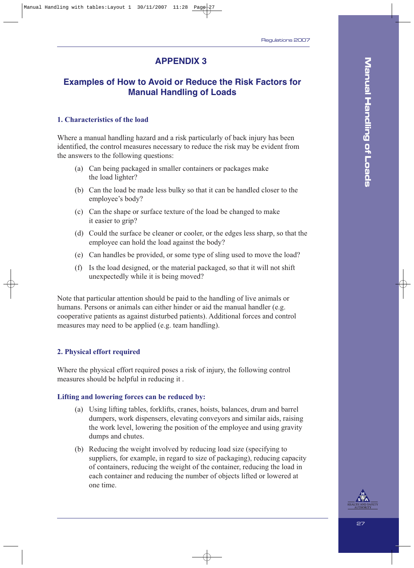### **APPENDIX 3**

### **Examples of How to Avoid or Reduce the Risk Factors for Manual Handling of Loads**

### **1. Characteristics of the load**

Where a manual handling hazard and a risk particularly of back injury has been identified, the control measures necessary to reduce the risk may be evident from the answers to the following questions:

- (a) Can being packaged in smaller containers or packages make the load lighter?
- (b) Can the load be made less bulky so that it can be handled closer to the employee's body?
- (c) Can the shape or surface texture of the load be changed to make it easier to grip?
- (d) Could the surface be cleaner or cooler, or the edges less sharp, so that the employee can hold the load against the body?
- (e) Can handles be provided, or some type of sling used to move the load?
- (f) Is the load designed, or the material packaged, so that it will not shift unexpectedly while it is being moved?

Note that particular attention should be paid to the handling of live animals or humans. Persons or animals can either hinder or aid the manual handler (e.g. cooperative patients as against disturbed patients). Additional forces and control measures may need to be applied (e.g. team handling).

### **2. Physical effort required**

Where the physical effort required poses a risk of injury, the following control measures should be helpful in reducing it .

### **Lifting and lowering forces can be reduced by:**

- (a) Using lifting tables, forklifts, cranes, hoists, balances, drum and barrel dumpers, work dispensers, elevating conveyors and similar aids, raising the work level, lowering the position of the employee and using gravity dumps and chutes.
- (b) Reducing the weight involved by reducing load size (specifying to suppliers, for example, in regard to size of packaging), reducing capacity of containers, reducing the weight of the container, reducing the load in each container and reducing the number of objects lifted or lowered at one time.

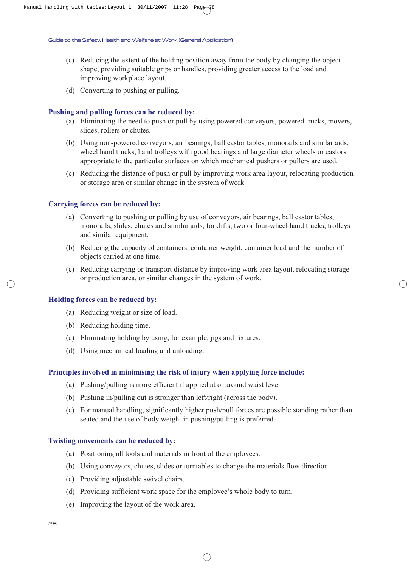- (c) Reducing the extent of the holding position away from the body by changing the object shape, providing suitable grips or handles, providing greater access to the load and improving workplace layout.
- (d) Converting to pushing or pulling.

#### **Pushing and pulling forces can be reduced by:**

- (a) Eliminating the need to push or pull by using powered conveyors, powered trucks, movers, slides, rollers or chutes.
- (b) Using non-powered conveyors, air bearings, ball castor tables, monorails and similar aids; wheel hand trucks, hand trolleys with good bearings and large diameter wheels or castors appropriate to the particular surfaces on which mechanical pushers or pullers are used.
- (c) Reducing the distance of push or pull by improving work area layout, relocating production or storage area or similar change in the system of work.

#### **Carrying forces can be reduced by:**

- (a) Converting to pushing or pulling by use of conveyors, air bearings, ball castor tables, monorails, slides, chutes and similar aids, forklifts, two or four-wheel hand trucks, trolleys and similar equipment.
- (b) Reducing the capacity of containers, container weight, container load and the number of objects carried at one time.
- (c) Reducing carrying or transport distance by improving work area layout, relocating storage or production area, or similar changes in the system of work.

#### **Holding forces can be reduced by:**

- (a) Reducing weight or size of load.
- (b) Reducing holding time.
- (c) Eliminating holding by using, for example, jigs and fixtures.
- (d) Using mechanical loading and unloading.

#### **Principles involved in minimising the risk of injury when applying force include:**

- (a) Pushing/pulling is more efficient if applied at or around waist level.
- (b) Pushing in/pulling out is stronger than left/right (across the body).
- (c) For manual handling, significantly higher push/pull forces are possible standing rather than seated and the use of body weight in pushing/pulling is preferred.

#### **Twisting movements can be reduced by:**

- (a) Positioning all tools and materials in front of the employees.
- (b) Using conveyors, chutes, slides or turntables to change the materials flow direction.
- (c) Providing adjustable swivel chairs.
- (d) Providing sufficient work space for the employee's whole body to turn.
- (e) Improving the layout of the work area.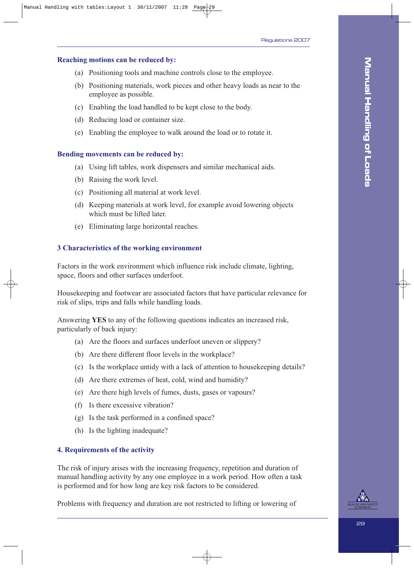### **Reaching motions can be reduced by:**

- (a) Positioning tools and machine controls close to the employee.
- (b) Positioning materials, work pieces and other heavy loads as near to the employee as possible.
- (c) Enabling the load handled to be kept close to the body.
- (d) Reducing load or container size.
- (e) Enabling the employee to walk around the load or to rotate it.

#### **Bending movements can be reduced by:**

- (a) Using lift tables, work dispensers and similar mechanical aids.
- (b) Raising the work level.
- (c) Positioning all material at work level.
- (d) Keeping materials at work level, for example avoid lowering objects which must be lifted later.
- (e) Eliminating large horizontal reaches.

### **3 Characteristics of the working environment**

Factors in the work environment which influence risk include climate, lighting, space, floors and other surfaces underfoot.

Housekeeping and footwear are associated factors that have particular relevance for risk of slips, trips and falls while handling loads.

Answering **YES** to any of the following questions indicates an increased risk, particularly of back injury:

- (a) Are the floors and surfaces underfoot uneven or slippery?
- (b) Are there different floor levels in the workplace?
- (c) Is the workplace untidy with a lack of attention to housekeeping details?
- (d) Are there extremes of heat, cold, wind and humidity?
- (e) Are there high levels of fumes, dusts, gases or vapours?
- (f) Is there excessive vibration?
- (g) Is the task performed in a confined space?
- (h) Is the lighting inadequate?

### **4. Requirements of the activity**

The risk of injury arises with the increasing frequency, repetition and duration of manual handling activity by any one employee in a work period. How often a task is performed and for how long are key risk factors to be considered.

Problems with frequency and duration are not restricted to lifting or lowering of

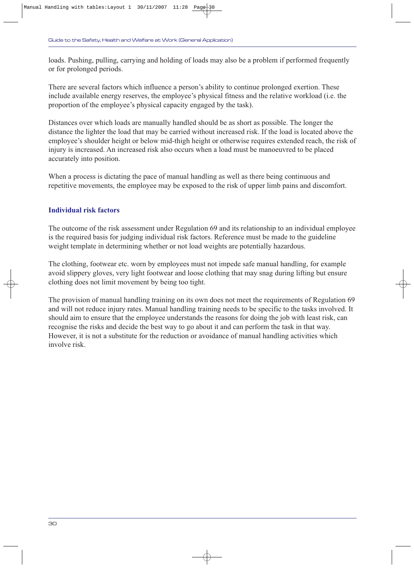loads. Pushing, pulling, carrying and holding of loads may also be a problem if performed frequently or for prolonged periods.

There are several factors which influence a person's ability to continue prolonged exertion. These include available energy reserves, the employee's physical fitness and the relative workload (i.e. the proportion of the employee's physical capacity engaged by the task).

Distances over which loads are manually handled should be as short as possible. The longer the distance the lighter the load that may be carried without increased risk. If the load is located above the employee's shoulder height or below mid-thigh height or otherwise requires extended reach, the risk of injury is increased. An increased risk also occurs when a load must be manoeuvred to be placed accurately into position.

When a process is dictating the pace of manual handling as well as there being continuous and repetitive movements, the employee may be exposed to the risk of upper limb pains and discomfort.

### **Individual risk factors**

The outcome of the risk assessment under Regulation 69 and its relationship to an individual employee is the required basis for judging individual risk factors. Reference must be made to the guideline weight template in determining whether or not load weights are potentially hazardous.

The clothing, footwear etc. worn by employees must not impede safe manual handling, for example avoid slippery gloves, very light footwear and loose clothing that may snag during lifting but ensure clothing does not limit movement by being too tight.

The provision of manual handling training on its own does not meet the requirements of Regulation 69 and will not reduce injury rates. Manual handling training needs to be specific to the tasks involved. It should aim to ensure that the employee understands the reasons for doing the job with least risk, can recognise the risks and decide the best way to go about it and can perform the task in that way. However, it is not a substitute for the reduction or avoidance of manual handling activities which involve risk.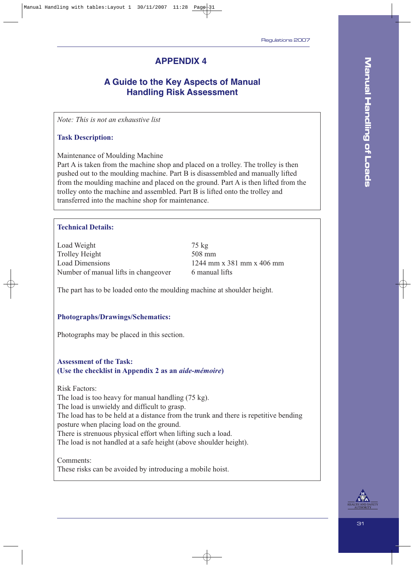### **APPENDIX 4**

### **A Guide to the Key Aspects of Manual Handling Risk Assessment**

*Note: This is not an exhaustive list*

### **Task Description:**

Maintenance of Moulding Machine

Part A is taken from the machine shop and placed on a trolley. The trolley is then pushed out to the moulding machine. Part B is disassembled and manually lifted from the moulding machine and placed on the ground. Part A is then lifted from the trolley onto the machine and assembled. Part B is lifted onto the trolley and transferred into the machine shop for maintenance.

### **Technical Details:**

Load Weight 75 kg Trolley Height 508 mm Load Dimensions 1244 mm x 381 mm x 406 mm Number of manual lifts in changeover 6 manual lifts

The part has to be loaded onto the moulding machine at shoulder height.

#### **Photographs/Drawings/Schematics:**

Photographs may be placed in this section.

### **Assessment of the Task: (Use the checklist in Appendix 2 as an** *aide-mémoire***)**

Risk Factors:

The load is too heavy for manual handling (75 kg).

The load is unwieldy and difficult to grasp.

The load has to be held at a distance from the trunk and there is repetitive bending posture when placing load on the ground.

There is strenuous physical effort when lifting such a load.

The load is not handled at a safe height (above shoulder height).

Comments:

These risks can be avoided by introducing a mobile hoist.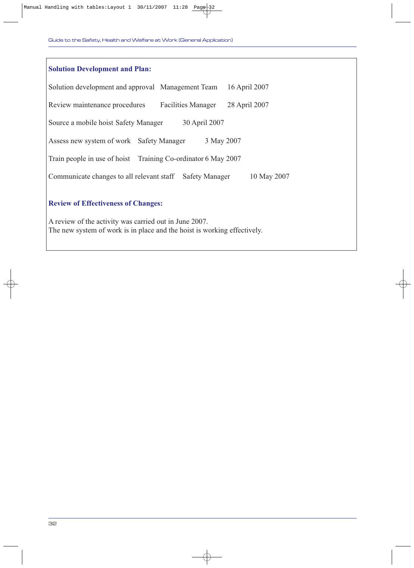| <b>Solution Development and Plan:</b>                                                                                              |  |  |
|------------------------------------------------------------------------------------------------------------------------------------|--|--|
| 16 April 2007<br>Solution development and approval Management Team                                                                 |  |  |
| 28 April 2007<br>Review maintenance procedures<br><b>Facilities Manager</b>                                                        |  |  |
| 30 April 2007<br>Source a mobile hoist Safety Manager                                                                              |  |  |
| 3 May 2007<br>Assess new system of work Safety Manager                                                                             |  |  |
| Train people in use of hoist Training Co-ordinator 6 May 2007                                                                      |  |  |
| Communicate changes to all relevant staff Safety Manager<br>10 May 2007                                                            |  |  |
| <b>Review of Effectiveness of Changes:</b>                                                                                         |  |  |
| A review of the activity was carried out in June 2007.<br>The new system of work is in place and the hoist is working effectively. |  |  |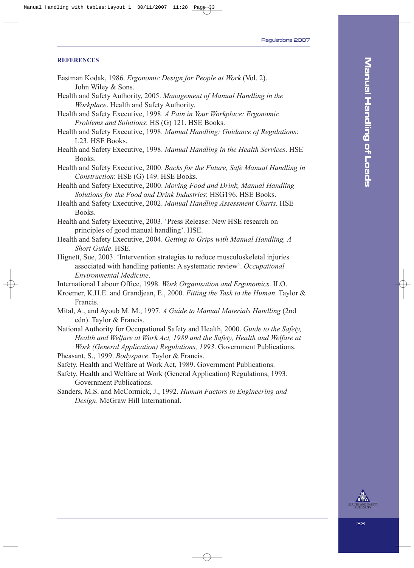#### **REFERENCES**

- Eastman Kodak, 1986. *Ergonomic Design for People at Work* (Vol. 2). John Wiley & Sons.
- Health and Safety Authority, 2005. *Management of Manual Handling in the Workplace*. Health and Safety Authority.
- Health and Safety Executive, 1998. *A Pain in Your Workplace: Ergonomic Problems and Solutions*: HS (G) 121. HSE Books.
- Health and Safety Executive, 1998. *Manual Handling: Guidance of Regulations*: L23. HSE Books.
- Health and Safety Executive, 1998. *Manual Handling in the Health Services*. HSE Books.
- Health and Safety Executive, 2000. *Backs for the Future, Safe Manual Handling in Construction*: HSE (G) 149. HSE Books.
- Health and Safety Executive, 2000. *Moving Food and Drink, Manual Handling Solutions for the Food and Drink Industries*: HSG196. HSE Books.
- Health and Safety Executive, 2002. *Manual Handling Assessment Charts*. HSE Books.
- Health and Safety Executive, 2003. 'Press Release: New HSE research on principles of good manual handling'. HSE.
- Health and Safety Executive, 2004. *Getting to Grips with Manual Handling, A Short Guide*. HSE.
- Hignett, Sue, 2003. 'Intervention strategies to reduce musculoskeletal injuries associated with handling patients: A systematic review'. *Occupational Environmental Medicine*.
- International Labour Office, 1998. *Work Organisation and Ergonomics*. ILO.
- Kroemer, K.H.E. and Grandjean, E., 2000. *Fitting the Task to the Human*. Taylor & Francis.
- Mital, A., and Ayoub M. M., 1997. *A Guide to Manual Materials Handling* (2nd edn). Taylor & Francis.
- National Authority for Occupational Safety and Health, 2000. *Guide to the Safety, Health and Welfare at Work Act, 1989 and the Safety, Health and Welfare at Work (General Application) Regulations, 1993*. Government Publications.

Pheasant, S., 1999. *Bodyspace*. Taylor & Francis.

- Safety, Health and Welfare at Work Act, 1989. Government Publications.
- Safety, Health and Welfare at Work (General Application) Regulations, 1993. Government Publications.
- Sanders, M.S. and McCormick, J., 1992. *Human Factors in Engineering and Design*. McGraw Hill International.

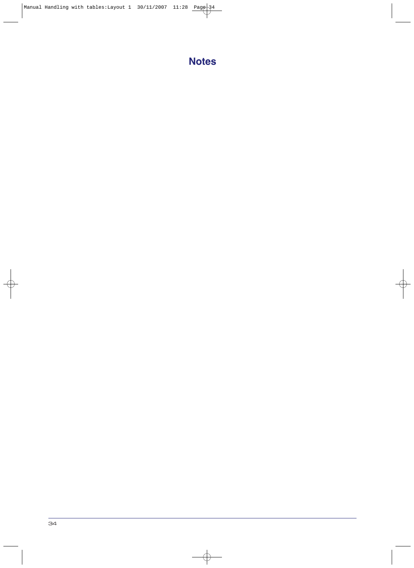# **Notes**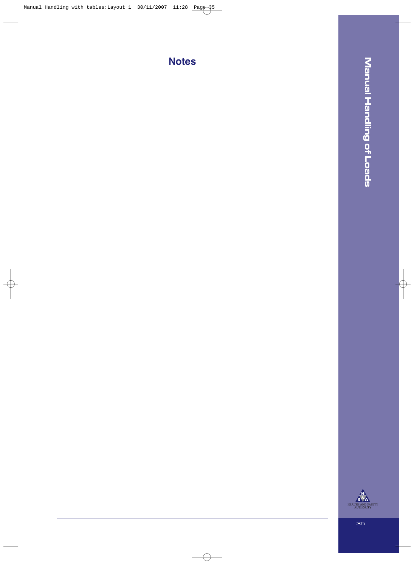**Notes**

**Manual Handling of Loads Manual Handling of Loads**

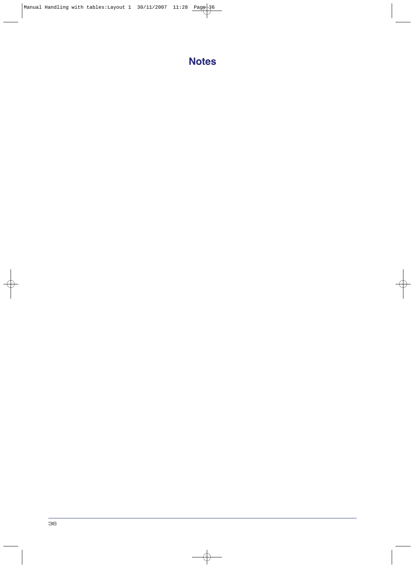# **Notes**